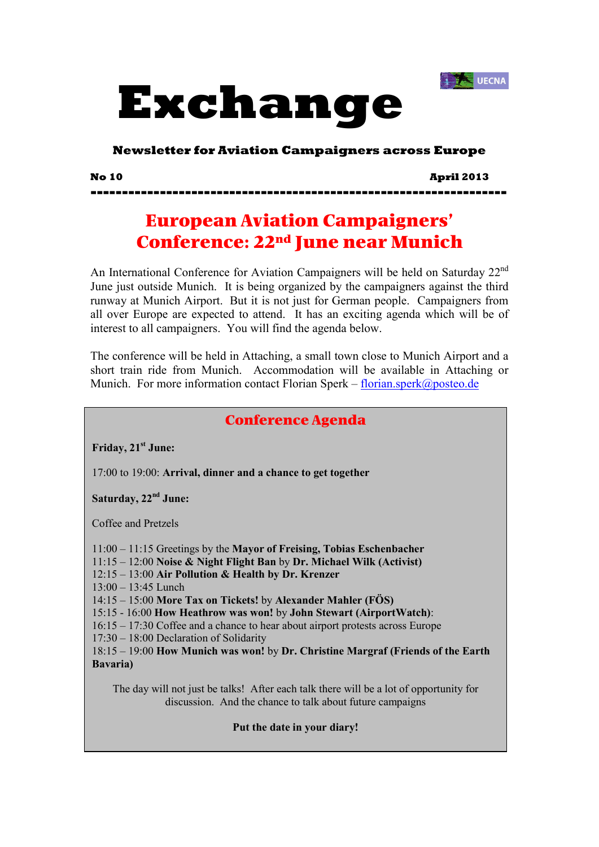



**Newsletter for Aviation Campaigners across Europe** 

**No 10 April 2013** 

**------------------------------------------------------------------** 

# European Aviation Campaigners' Conference: 22nd June near Munich

An International Conference for Aviation Campaigners will be held on Saturday 22<sup>nd</sup> June just outside Munich. It is being organized by the campaigners against the third runway at Munich Airport. But it is not just for German people. Campaigners from all over Europe are expected to attend. It has an exciting agenda which will be of interest to all campaigners. You will find the agenda below.

The conference will be held in Attaching, a small town close to Munich Airport and a short train ride from Munich. Accommodation will be available in Attaching or Munich. For more information contact Florian Sperk – florian sperk $\omega$ posteo.de

### Conference Agenda

**Friday, 21st June:** 

17:00 to 19:00: **Arrival, dinner and a chance to get together**

**Saturday, 22nd June:** 

Coffee and Pretzels

11:00 – 11:15 Greetings by the **Mayor of Freising, Tobias Eschenbacher** 

11:15 – 12:00 **Noise & Night Flight Ban** by **Dr. Michael Wilk (Activist)** 

12:15 – 13:00 **Air Pollution & Health by Dr. Krenzer** 

13:00 – 13:45 Lunch

14:15 – 15:00 **More Tax on Tickets!** by **Alexander Mahler (FÖS)** 

15:15 - 16:00 **How Heathrow was won!** by **John Stewart (AirportWatch)**:

16:15 – 17:30 Coffee and a chance to hear about airport protests across Europe

17:30 – 18:00 Declaration of Solidarity

18:15 – 19:00 **How Munich was won!** by **Dr. Christine Margraf (Friends of the Earth Bavaria)** 

The day will not just be talks! After each talk there will be a lot of opportunity for discussion. And the chance to talk about future campaigns

**Put the date in your diary!**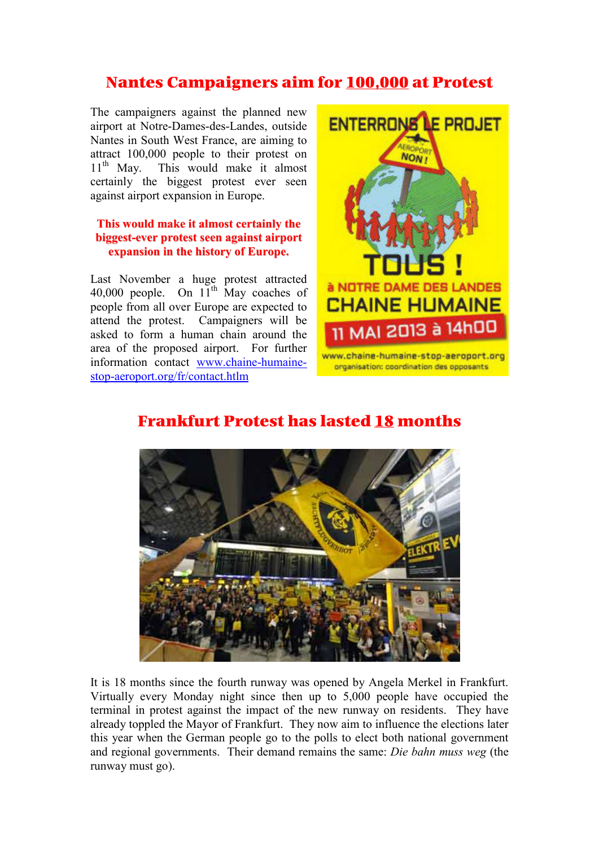## Nantes Campaigners aim for 100,000 at Protest

The campaigners against the planned new airport at Notre-Dames-des-Landes, outside Nantes in South West France, are aiming to attract 100,000 people to their protest on 11<sup>th</sup> May. This would make it almost certainly the biggest protest ever seen against airport expansion in Europe.

### **This would make it almost certainly the biggest-ever protest seen against airport expansion in the history of Europe.**

Last November a huge protest attracted 40,000 people. On  $11^{th}$  May coaches of people from all over Europe are expected to attend the protest. Campaigners will be asked to form a human chain around the area of the proposed airport. For further information contact www.chaine-humainestop-aeroport.org/fr/contact.htlm



organisation: coordination des opposants



## Frankfurt Protest has lasted 18 months

It is 18 months since the fourth runway was opened by Angela Merkel in Frankfurt. Virtually every Monday night since then up to 5,000 people have occupied the terminal in protest against the impact of the new runway on residents. They have already toppled the Mayor of Frankfurt. They now aim to influence the elections later this year when the German people go to the polls to elect both national government and regional governments. Their demand remains the same: *Die bahn muss weg* (the runway must go).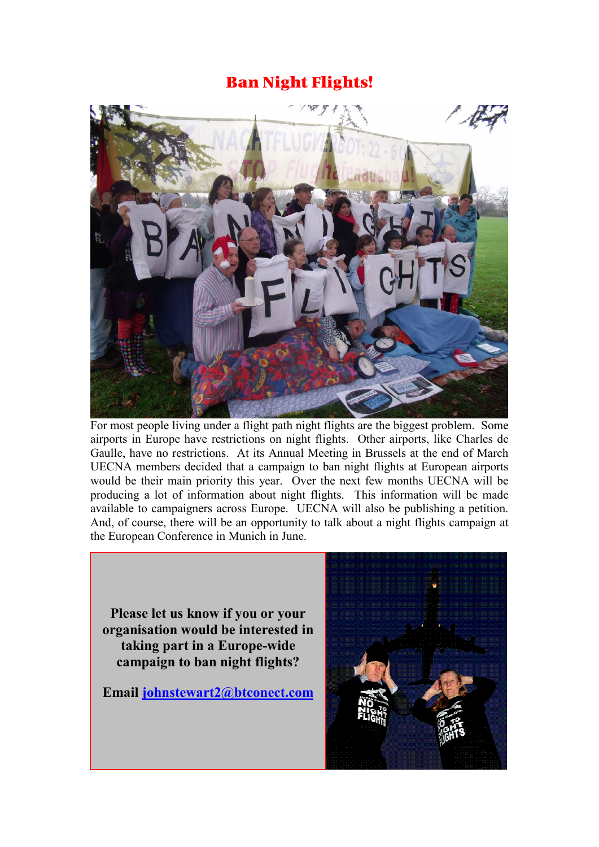### Ban Night Flights!



For most people living under a flight path night flights are the biggest problem. Some airports in Europe have restrictions on night flights. Other airports, like Charles de Gaulle, have no restrictions. At its Annual Meeting in Brussels at the end of March UECNA members decided that a campaign to ban night flights at European airports would be their main priority this year. Over the next few months UECNA will be producing a lot of information about night flights. This information will be made available to campaigners across Europe. UECNA will also be publishing a petition. And, of course, there will be an opportunity to talk about a night flights campaign at the European Conference in Munich in June.

**Please let us know if you or your organisation would be interested in taking part in a Europe-wide campaign to ban night flights?** 

**Email johnstewart2@btconect.com**